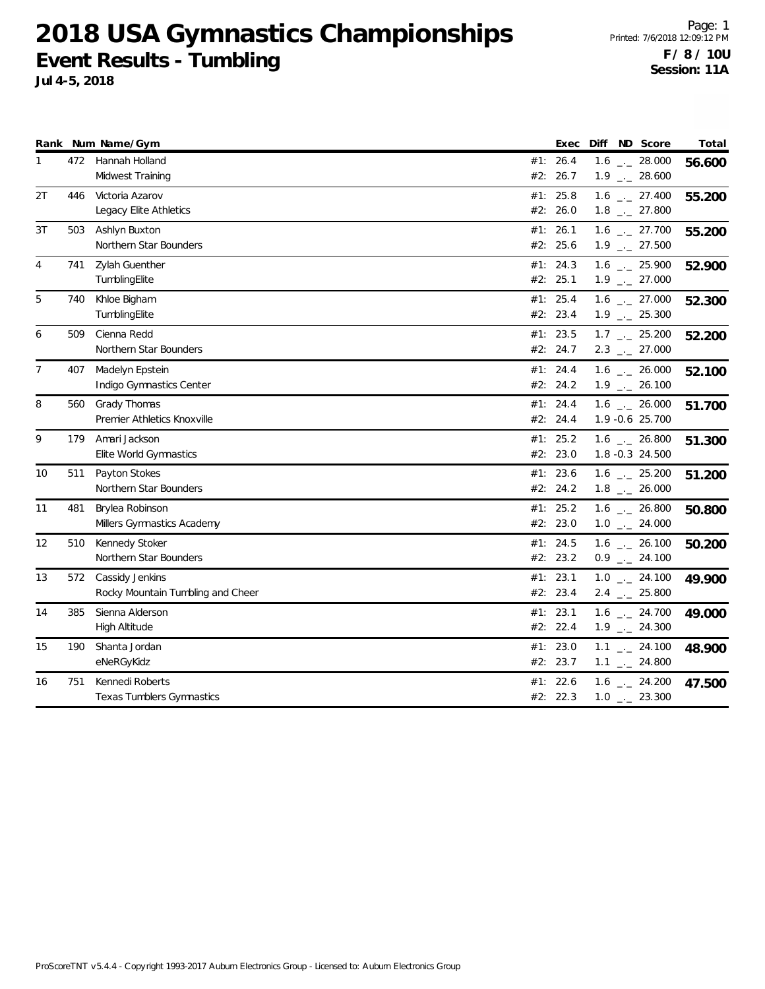|                |     | Rank Num Name/Gym                 |     | Exec       | ND Score<br>Diff             | Total  |
|----------------|-----|-----------------------------------|-----|------------|------------------------------|--------|
| 1              | 472 | Hannah Holland                    |     | #1: 26.4   | $1.6$ _ 28.000               | 56.600 |
|                |     | Midwest Training                  | #2: | 26.7       | $1.9$ $_{-}$ 28.600          |        |
| 2T             | 446 | Victoria Azarov                   |     | #1: 25.8   | $1.6$ _ 27.400               | 55.200 |
|                |     | Legacy Elite Athletics            |     | #2: 26.0   | $1.8$ $_{-}$ 27.800          |        |
| 3T             | 503 | Ashlyn Buxton                     |     | #1: 26.1   | $1.6$ $_{-1}$ 27.700         | 55.200 |
|                |     | Northern Star Bounders            |     | #2: 25.6   | $1.9$ $_{\leftarrow}$ 27.500 |        |
| 4              | 741 | Zylah Guenther                    |     | #1: 24.3   | $1.6$ - 25.900               | 52.900 |
|                |     | TumblingElite                     |     | #2: 25.1   | $1.9$ $_{\leftarrow}$ 27.000 |        |
| 5              | 740 | Khloe Bigham                      |     | #1: 25.4   | $1.6$ $_{\leftarrow}$ 27.000 | 52.300 |
|                |     | TumblingElite                     |     | #2: 23.4   | $1.9$ $_{-}$ 25.300          |        |
| 6              | 509 | Cienna Redd                       |     | #1: $23.5$ | $1.7$ $_{-}$ 25.200          | 52.200 |
|                |     | Northern Star Bounders            |     | #2: 24.7   | $2.3$ $_{\leftarrow}$ 27.000 |        |
| $\overline{7}$ | 407 | Madelyn Epstein                   |     | #1: 24.4   | $1.6$ _ 26.000               | 52.100 |
|                |     | Indigo Gymnastics Center          |     | #2: 24.2   | $1.9$ $_{\leftarrow}$ 26.100 |        |
| 8              | 560 | Grady Thomas                      |     | #1: 24.4   | $1.6$ _ 26.000               | 51.700 |
|                |     | Premier Athletics Knoxville       |     | #2: 24.4   | 1.9 -0.6 25.700              |        |
| 9              | 179 | Amari Jackson                     | #1: | 25.2       | $1.6$ $_{\leftarrow}$ 26.800 | 51.300 |
|                |     | Elite World Gymnastics            |     | #2: 23.0   | 1.8 -0.3 24.500              |        |
| 10             | 511 | Payton Stokes                     |     | #1: 23.6   | $1.6$ $_{\leftarrow}$ 25.200 | 51.200 |
|                |     | Northern Star Bounders            |     | #2: 24.2   | $1.8$ _ $-$ 26.000           |        |
| 11             | 481 | Brylea Robinson                   |     | #1: 25.2   | $1.6$ _._ 26.800             | 50.800 |
|                |     | Millers Gymnastics Academy        |     | #2: 23.0   | $1.0$ _ 24.000               |        |
| 12             | 510 | Kennedy Stoker                    |     | #1: 24.5   | $1.6$ $_{\leftarrow}$ 26.100 | 50.200 |
|                |     | Northern Star Bounders            |     | #2: 23.2   | $0.9$ $_{-}$ 24.100          |        |
| 13             | 572 | Cassidy Jenkins                   |     | #1: 23.1   | $1.0$ _ 24.100               | 49.900 |
|                |     | Rocky Mountain Tumbling and Cheer |     | #2: 23.4   | $2.4$ $_{\leftarrow}$ 25.800 |        |
| 14             | 385 | Sienna Alderson                   |     | #1: 23.1   | $1.6$ $_{-}$ 24.700          | 49.000 |
|                |     | High Altitude                     |     | #2: 22.4   | $1.9$ $_{\leftarrow}$ 24.300 |        |
| 15             | 190 | Shanta Jordan                     |     | #1: 23.0   | $1.1$ $_{-}$ 24.100          | 48.900 |
|                |     | eNeRGyKidz                        |     | #2: 23.7   | $1.1$ $_{-}$ 24.800          |        |
| 16             | 751 | Kennedi Roberts                   | #1: | 22.6       | $1.6$ $_{-}$ 24.200          | 47.500 |
|                |     | <b>Texas Tumblers Gymnastics</b>  |     | #2: 22.3   | $1.0$ $_{\leftarrow}$ 23.300 |        |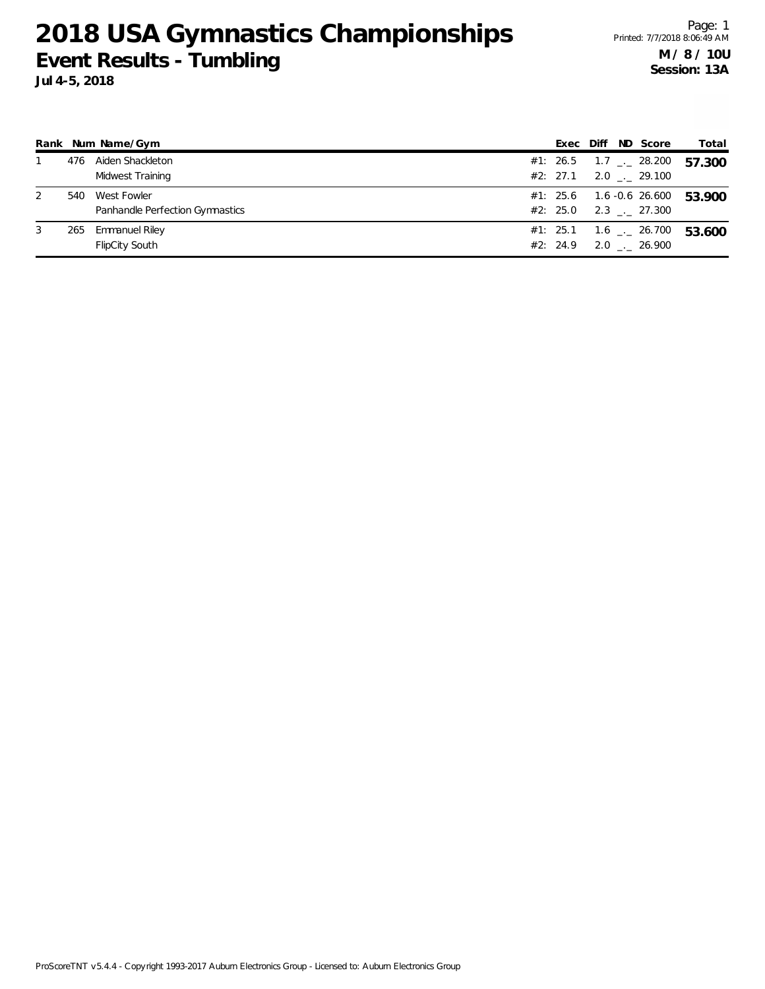Page: 1 Printed: 7/7/2018 8:06:49 AM **M / 8 / 10U Session: 13A**

|   |     | Rank Num Name/Gym               | Exec     | Diff | ND Score                     | Total  |
|---|-----|---------------------------------|----------|------|------------------------------|--------|
|   | 476 | Aiden Shackleton                | #1: 26.5 |      | $1.7$ $_{--}$ 28.200         | 57.300 |
|   |     | Midwest Training                | #2: 27.1 |      | $2.0$ $_{\leftarrow}$ 29.100 |        |
| 2 | 540 | West Fowler                     | #1: 25.6 |      | 1.6 -0.6 26.600              | 53.900 |
|   |     | Panhandle Perfection Gymnastics | #2: 25.0 |      | 2.3 . 27.300                 |        |
| 3 | 265 | <b>Emmanuel Riley</b>           |          |      | #1: 25.1  1.6 __ 26.700      | 53.600 |
|   |     | <b>FlipCity South</b>           | #2: 24.9 |      | $2.0$ $_{\leftarrow}$ 26.900 |        |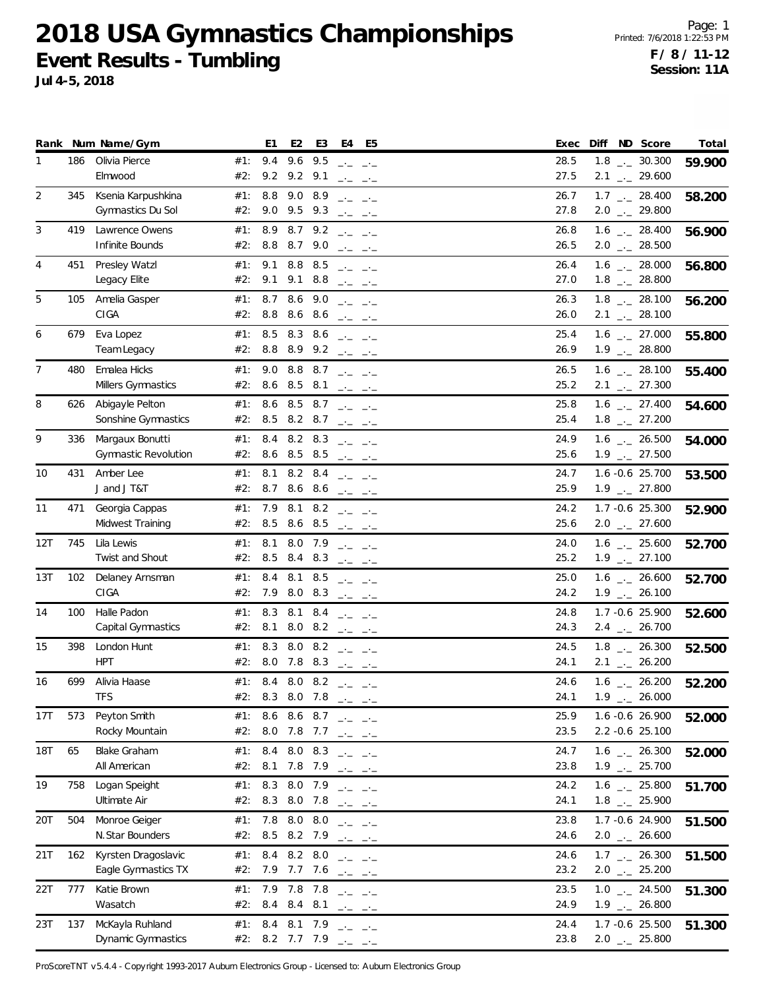**Jul 4-5, 2018**

|                |     | Rank Num Name/Gym                              |            | E <sub>1</sub>                           | E <sub>2</sub>             | E3          | E4                                                                                                                                                                                                                                                                                                                                                                                                            | E5                                                                                                                                                                                                                                                                                                                                                                                                   | Diff ND Score<br>Exec                                                        | Total  |
|----------------|-----|------------------------------------------------|------------|------------------------------------------|----------------------------|-------------|---------------------------------------------------------------------------------------------------------------------------------------------------------------------------------------------------------------------------------------------------------------------------------------------------------------------------------------------------------------------------------------------------------------|------------------------------------------------------------------------------------------------------------------------------------------------------------------------------------------------------------------------------------------------------------------------------------------------------------------------------------------------------------------------------------------------------|------------------------------------------------------------------------------|--------|
| 1              | 186 | Olivia Pierce<br>Elmwood                       | #1:<br>#2: | 9.4                                      | 9.2 9.2 9.1                | 9.6 9.5     | $\frac{1}{2} \frac{1}{2} \frac{1}{2} \frac{1}{2} \frac{1}{2} \frac{1}{2} \frac{1}{2} \frac{1}{2} \frac{1}{2} \frac{1}{2} \frac{1}{2} \frac{1}{2} \frac{1}{2} \frac{1}{2} \frac{1}{2} \frac{1}{2} \frac{1}{2} \frac{1}{2} \frac{1}{2} \frac{1}{2} \frac{1}{2} \frac{1}{2} \frac{1}{2} \frac{1}{2} \frac{1}{2} \frac{1}{2} \frac{1}{2} \frac{1}{2} \frac{1}{2} \frac{1}{2} \frac{1}{2} \frac{$                  | $\frac{1}{2} \frac{1}{2} \frac{1}{2} \frac{1}{2} \frac{1}{2} \frac{1}{2} \frac{1}{2} \frac{1}{2} \frac{1}{2} \frac{1}{2} \frac{1}{2} \frac{1}{2} \frac{1}{2} \frac{1}{2} \frac{1}{2} \frac{1}{2} \frac{1}{2} \frac{1}{2} \frac{1}{2} \frac{1}{2} \frac{1}{2} \frac{1}{2} \frac{1}{2} \frac{1}{2} \frac{1}{2} \frac{1}{2} \frac{1}{2} \frac{1}{2} \frac{1}{2} \frac{1}{2} \frac{1}{2} \frac{$         | $1.8$ $_{-}$ 30.300<br>28.5<br>27.5<br>$2.1$ $_{\leftarrow}$ 29.600          | 59.900 |
| 2              | 345 | Ksenia Karpushkina<br>Gymnastics Du Sol        | #1:<br>#2: | 8.8                                      | 9.0 8.9<br>9.0 9.5 9.3     |             | $\frac{1}{2} \frac{1}{2} \frac{1}{2} \frac{1}{2} \frac{1}{2} \frac{1}{2} \frac{1}{2} \frac{1}{2} \frac{1}{2} \frac{1}{2} \frac{1}{2} \frac{1}{2} \frac{1}{2} \frac{1}{2} \frac{1}{2} \frac{1}{2} \frac{1}{2} \frac{1}{2} \frac{1}{2} \frac{1}{2} \frac{1}{2} \frac{1}{2} \frac{1}{2} \frac{1}{2} \frac{1}{2} \frac{1}{2} \frac{1}{2} \frac{1}{2} \frac{1}{2} \frac{1}{2} \frac{1}{2} \frac{$                  | $\frac{1}{2} \frac{1}{2} \frac{1}{2} \frac{1}{2} \frac{1}{2} \frac{1}{2} \frac{1}{2} \frac{1}{2} \frac{1}{2} \frac{1}{2} \frac{1}{2} \frac{1}{2} \frac{1}{2} \frac{1}{2} \frac{1}{2} \frac{1}{2} \frac{1}{2} \frac{1}{2} \frac{1}{2} \frac{1}{2} \frac{1}{2} \frac{1}{2} \frac{1}{2} \frac{1}{2} \frac{1}{2} \frac{1}{2} \frac{1}{2} \frac{1}{2} \frac{1}{2} \frac{1}{2} \frac{1}{2} \frac{$         | 26.7<br>$1.7$ _ 28.400<br>27.8<br>$2.0$ $_{\leftarrow}$ 29.800               | 58.200 |
| 3              | 419 | Lawrence Owens<br>Infinite Bounds              | #1:<br>#2: | 8.9                                      | 8.8 8.7 9.0                | $8.7$ $9.2$ |                                                                                                                                                                                                                                                                                                                                                                                                               | $\frac{1}{2} \frac{1}{2} \frac{1}{2} \frac{1}{2} \frac{1}{2} \frac{1}{2} \frac{1}{2} \frac{1}{2} \frac{1}{2} \frac{1}{2} \frac{1}{2} \frac{1}{2} \frac{1}{2} \frac{1}{2} \frac{1}{2} \frac{1}{2} \frac{1}{2} \frac{1}{2} \frac{1}{2} \frac{1}{2} \frac{1}{2} \frac{1}{2} \frac{1}{2} \frac{1}{2} \frac{1}{2} \frac{1}{2} \frac{1}{2} \frac{1}{2} \frac{1}{2} \frac{1}{2} \frac{1}{2} \frac{$         | $1.6$ $_{\leftarrow}$ 28.400<br>26.8<br>26.5<br>$2.0$ $_{\leftarrow}$ 28.500 | 56.900 |
| $\overline{4}$ | 451 | Presley Watzl<br>Legacy Elite                  | #1:<br>#2: | 9.1                                      | 9.1 8.8<br>9.1             | 8.5<br>8.8  | $\frac{1}{2} \frac{1}{2} \frac{1}{2} \frac{1}{2} \frac{1}{2} \frac{1}{2} \frac{1}{2} \frac{1}{2} \frac{1}{2} \frac{1}{2} \frac{1}{2} \frac{1}{2} \frac{1}{2} \frac{1}{2} \frac{1}{2} \frac{1}{2} \frac{1}{2} \frac{1}{2} \frac{1}{2} \frac{1}{2} \frac{1}{2} \frac{1}{2} \frac{1}{2} \frac{1}{2} \frac{1}{2} \frac{1}{2} \frac{1}{2} \frac{1}{2} \frac{1}{2} \frac{1}{2} \frac{1}{2} \frac{$                  | $\frac{1}{2} \frac{1}{2} \frac{1}{2} \frac{1}{2} \frac{1}{2} \frac{1}{2} \frac{1}{2} \frac{1}{2} \frac{1}{2} \frac{1}{2} \frac{1}{2} \frac{1}{2} \frac{1}{2} \frac{1}{2} \frac{1}{2} \frac{1}{2} \frac{1}{2} \frac{1}{2} \frac{1}{2} \frac{1}{2} \frac{1}{2} \frac{1}{2} \frac{1}{2} \frac{1}{2} \frac{1}{2} \frac{1}{2} \frac{1}{2} \frac{1}{2} \frac{1}{2} \frac{1}{2} \frac{1}{2} \frac{$         | 26.4<br>$1.6$ $_{\leftarrow}$ 28.000<br>27.0<br>$1.8$ $_{-}$ 28.800          | 56.800 |
| 5              | 105 | Amelia Gasper<br>CIGA                          | #1:<br>#2: | 8.7<br>8.8                               |                            | 8.6 9.0     | $\frac{1}{2} \frac{1}{2} \frac{1}{2} \frac{1}{2} \frac{1}{2} \frac{1}{2} \frac{1}{2} \frac{1}{2} \frac{1}{2} \frac{1}{2} \frac{1}{2} \frac{1}{2} \frac{1}{2} \frac{1}{2} \frac{1}{2} \frac{1}{2} \frac{1}{2} \frac{1}{2} \frac{1}{2} \frac{1}{2} \frac{1}{2} \frac{1}{2} \frac{1}{2} \frac{1}{2} \frac{1}{2} \frac{1}{2} \frac{1}{2} \frac{1}{2} \frac{1}{2} \frac{1}{2} \frac{1}{2} \frac{$<br>8.6 8.6 $  -$ |                                                                                                                                                                                                                                                                                                                                                                                                      | 26.3<br>$1.8$ $_{-}$ 28.100<br>26.0<br>$2.1$ $_{\leftarrow}$ 28.100          | 56.200 |
| 6              | 679 | Eva Lopez<br>Team Legacy                       | #1:        | 8.5<br>#2: 8.8 8.9 9.2 $ -$              | 8.3 8.6                    |             | $\frac{1}{2} \frac{1}{2} \frac{1}{2} \frac{1}{2} \frac{1}{2} \frac{1}{2} \frac{1}{2} \frac{1}{2} \frac{1}{2} \frac{1}{2} \frac{1}{2} \frac{1}{2} \frac{1}{2} \frac{1}{2} \frac{1}{2} \frac{1}{2} \frac{1}{2} \frac{1}{2} \frac{1}{2} \frac{1}{2} \frac{1}{2} \frac{1}{2} \frac{1}{2} \frac{1}{2} \frac{1}{2} \frac{1}{2} \frac{1}{2} \frac{1}{2} \frac{1}{2} \frac{1}{2} \frac{1}{2} \frac{$                  |                                                                                                                                                                                                                                                                                                                                                                                                      | $1.6$ $_{\leftarrow}$ 27.000<br>25.4<br>26.9<br>$1.9$ $_{\leftarrow}$ 28.800 | 55.800 |
| 7              | 480 | Emalea Hicks<br>Millers Gymnastics             | #1:<br>#2: | 9.0<br>8.6                               | 8.8 8.7<br>8.5             | 8.1         | التواصل التواصل<br>$\rightarrow$ $\rightarrow$                                                                                                                                                                                                                                                                                                                                                                |                                                                                                                                                                                                                                                                                                                                                                                                      | 26.5<br>$1.6$ $_{\leftarrow}$ 28.100<br>25.2<br>$2.1$ $_{\leftarrow}$ 27.300 | 55.400 |
| 8              | 626 | Abigayle Pelton<br>Sonshine Gymnastics         | #1:<br>#2: | 8.6                                      | 8.5<br>8.5 8.2 8.7         | 8.7         | $\frac{1}{2} \frac{1}{2} \frac{1}{2} \frac{1}{2} \frac{1}{2} \frac{1}{2} \frac{1}{2} \frac{1}{2} \frac{1}{2} \frac{1}{2} \frac{1}{2} \frac{1}{2} \frac{1}{2} \frac{1}{2} \frac{1}{2} \frac{1}{2} \frac{1}{2} \frac{1}{2} \frac{1}{2} \frac{1}{2} \frac{1}{2} \frac{1}{2} \frac{1}{2} \frac{1}{2} \frac{1}{2} \frac{1}{2} \frac{1}{2} \frac{1}{2} \frac{1}{2} \frac{1}{2} \frac{1}{2} \frac{$                  | $\frac{1}{2} \frac{1}{2} \frac{1}{2} \frac{1}{2} \frac{1}{2} \frac{1}{2} \frac{1}{2} \frac{1}{2} \frac{1}{2} \frac{1}{2} \frac{1}{2} \frac{1}{2} \frac{1}{2} \frac{1}{2} \frac{1}{2} \frac{1}{2} \frac{1}{2} \frac{1}{2} \frac{1}{2} \frac{1}{2} \frac{1}{2} \frac{1}{2} \frac{1}{2} \frac{1}{2} \frac{1}{2} \frac{1}{2} \frac{1}{2} \frac{1}{2} \frac{1}{2} \frac{1}{2} \frac{1}{2} \frac{$         | 25.8<br>$1.6$ $_{-}$ 27.400<br>25.4<br>$1.8$ $_{-}$ 27.200                   | 54.600 |
| 9              | 336 | Margaux Bonutti<br><b>Gymnastic Revolution</b> | #1:        | 8.4<br>#2: 8.6 8.5 8.5                   | 8.2 8.3                    |             | سائب استحداد                                                                                                                                                                                                                                                                                                                                                                                                  |                                                                                                                                                                                                                                                                                                                                                                                                      | $1.6$ $_{-2}$ 26.500<br>24.9<br>25.6<br>$1.9$ $_{\leftarrow}$ 27.500         | 54.000 |
| 10             | 431 | Amber Lee<br>J and J T&T                       | #1:<br>#2: | 8.1                                      | 8.2 8.4                    |             | 8.7 8.6 8.6 $- -$                                                                                                                                                                                                                                                                                                                                                                                             |                                                                                                                                                                                                                                                                                                                                                                                                      | 24.7<br>1.6 -0.6 25.700<br>25.9<br>$1.9$ $_{\leftarrow}$ 27.800              | 53.500 |
| 11             | 471 | Georgia Cappas<br>Midwest Training             | #1:<br>#2: | 7.9<br>8.5                               | 8.6 8.5                    |             | 8.1 8.2 $ -$<br>$\frac{1}{2} \frac{1}{2} \frac{1}{2} \frac{1}{2} \frac{1}{2} \frac{1}{2} \frac{1}{2} \frac{1}{2} \frac{1}{2} \frac{1}{2} \frac{1}{2} \frac{1}{2} \frac{1}{2} \frac{1}{2} \frac{1}{2} \frac{1}{2} \frac{1}{2} \frac{1}{2} \frac{1}{2} \frac{1}{2} \frac{1}{2} \frac{1}{2} \frac{1}{2} \frac{1}{2} \frac{1}{2} \frac{1}{2} \frac{1}{2} \frac{1}{2} \frac{1}{2} \frac{1}{2} \frac{1}{2} \frac{$  |                                                                                                                                                                                                                                                                                                                                                                                                      | 24.2<br>1.7 -0.6 25.300<br>25.6<br>$2.0$ $_{\leftarrow}$ 27.600              | 52.900 |
| 12T            | 745 | Lila Lewis<br>Twist and Shout                  | #1:        | 8.1<br>#2: $8.5$ $8.4$ $8.3$             | 8.0                        | 7.9         | $\frac{1}{2} \frac{1}{2} \frac{1}{2} \frac{1}{2} \frac{1}{2} \frac{1}{2} \frac{1}{2} \frac{1}{2} \frac{1}{2} \frac{1}{2} \frac{1}{2} \frac{1}{2} \frac{1}{2} \frac{1}{2} \frac{1}{2} \frac{1}{2} \frac{1}{2} \frac{1}{2} \frac{1}{2} \frac{1}{2} \frac{1}{2} \frac{1}{2} \frac{1}{2} \frac{1}{2} \frac{1}{2} \frac{1}{2} \frac{1}{2} \frac{1}{2} \frac{1}{2} \frac{1}{2} \frac{1}{2} \frac{$                  | $\frac{1}{2} \frac{1}{2} \frac{1}{2} \frac{1}{2} \frac{1}{2} \frac{1}{2} \frac{1}{2} \frac{1}{2} \frac{1}{2} \frac{1}{2} \frac{1}{2} \frac{1}{2} \frac{1}{2} \frac{1}{2} \frac{1}{2} \frac{1}{2} \frac{1}{2} \frac{1}{2} \frac{1}{2} \frac{1}{2} \frac{1}{2} \frac{1}{2} \frac{1}{2} \frac{1}{2} \frac{1}{2} \frac{1}{2} \frac{1}{2} \frac{1}{2} \frac{1}{2} \frac{1}{2} \frac{1}{2} \frac{$         | $1.6$ $_{-2}$ 25.600<br>24.0<br>25.2<br>$1.9$ $_{\leftarrow}$ 27.100         | 52.700 |
| 13T            | 102 | Delaney Arnsman<br>CIGA                        | #1:<br>#2: | 8.4<br>7.9 8.0 8.3                       | 8.1 8.5                    |             | سامس السامس                                                                                                                                                                                                                                                                                                                                                                                                   | $\frac{1}{2} \frac{1}{2} \frac{1}{2} \frac{1}{2} \frac{1}{2} \frac{1}{2} \frac{1}{2} \frac{1}{2} \frac{1}{2} \frac{1}{2} \frac{1}{2} \frac{1}{2} \frac{1}{2} \frac{1}{2} \frac{1}{2} \frac{1}{2} \frac{1}{2} \frac{1}{2} \frac{1}{2} \frac{1}{2} \frac{1}{2} \frac{1}{2} \frac{1}{2} \frac{1}{2} \frac{1}{2} \frac{1}{2} \frac{1}{2} \frac{1}{2} \frac{1}{2} \frac{1}{2} \frac{1}{2} \frac{$         | 25.0<br>$1.6$ $_{\leftarrow}$ 26.600<br>24.2<br>$1.9$ $_{\leftarrow}$ 26.100 | 52.700 |
| 14             | 100 | Halle Padon<br>Capital Gymnastics              | #1:        | 8.3<br>#2: 8.1                           |                            |             | 8.1 8.4 $  -$<br>8.0 8.2 $ -$                                                                                                                                                                                                                                                                                                                                                                                 |                                                                                                                                                                                                                                                                                                                                                                                                      | 24.8<br>1.7 -0.6 25.900<br>24.3<br>$2.4$ $_{\leftarrow}$ 26.700              | 52.600 |
| 15             | 398 | London Hunt<br><b>HPT</b>                      | #1:        | 8.3<br>#2: 8.0 7.8 8.3 $ -$              | 8.0                        | 8.2         |                                                                                                                                                                                                                                                                                                                                                                                                               | $\frac{1}{2} \frac{1}{2} \frac{1}{2} \frac{1}{2} \frac{1}{2} \frac{1}{2} \frac{1}{2} \frac{1}{2} \frac{1}{2} \frac{1}{2} \frac{1}{2} \frac{1}{2} \frac{1}{2} \frac{1}{2} \frac{1}{2} \frac{1}{2} \frac{1}{2} \frac{1}{2} \frac{1}{2} \frac{1}{2} \frac{1}{2} \frac{1}{2} \frac{1}{2} \frac{1}{2} \frac{1}{2} \frac{1}{2} \frac{1}{2} \frac{1}{2} \frac{1}{2} \frac{1}{2} \frac{1}{2} \frac{$         | $1.8$ $_{-}$ 26.300<br>24.5<br>24.1<br>$2.1$ $_{-}$ 26.200                   | 52.500 |
| 16             | 699 | Alivia Haase<br><b>TFS</b>                     | #1:<br>#2: | 8.4<br>8.3                               | 8.0 7.8                    |             | 8.0 8.2 $  -$<br>المتحامل المتحامل                                                                                                                                                                                                                                                                                                                                                                            |                                                                                                                                                                                                                                                                                                                                                                                                      | 24.6<br>$1.6$ _ 26.200<br>24.1<br>$1.9$ $_{\leftarrow}$ 26.000               | 52.200 |
| 17T            | 573 | Peyton Smith<br>Rocky Mountain                 |            | #1: $8.6$ $8.6$ $8.7$<br>#2: 8.0 7.8 7.7 |                            |             |                                                                                                                                                                                                                                                                                                                                                                                                               | $\Delta\omega = -\Delta\omega + \Delta\omega$                                                                                                                                                                                                                                                                                                                                                        | 1.6 -0.6 26.900<br>25.9<br>23.5<br>2.2 -0.6 25.100                           | 52.000 |
| 18T            | 65  | Blake Graham<br>All American                   | #1:<br>#2: |                                          | 8.4 8.0 8.3<br>8.1 7.8 7.9 |             | $-1$                                                                                                                                                                                                                                                                                                                                                                                                          | $-1$<br>$-1$                                                                                                                                                                                                                                                                                                                                                                                         | 24.7<br>$1.6$ $_{\leftarrow}$ 26.300<br>23.8<br>$1.9$ $_{\leftarrow}$ 25.700 | 52.000 |
| 19             | 758 | Logan Speight<br>Ultimate Air                  | #1:<br>#2: |                                          | 8.3 8.0 7.9<br>8.3 8.0 7.8 |             | $-1$<br>$-1$                                                                                                                                                                                                                                                                                                                                                                                                  | $-1$                                                                                                                                                                                                                                                                                                                                                                                                 | 24.2<br>$1.6$ $_{\leftarrow}$ 25.800<br>24.1<br>$1.8$ $_{-}$ 25.900          | 51.700 |
| 20T            | 504 | Monroe Geiger<br>N.Star Bounders               | #1:<br>#2: | 7.8                                      | 8.0 8.0<br>8.5 8.2 7.9     |             | $-1$                                                                                                                                                                                                                                                                                                                                                                                                          | $ -$<br>$-1$                                                                                                                                                                                                                                                                                                                                                                                         | 1.7 -0.6 24.900<br>23.8<br>24.6<br>$2.0$ _ 26.600                            | 51.500 |
| 21T            | 162 | Kyrsten Dragoslavic<br>Eagle Gymnastics TX     | #1:<br>#2: |                                          | 8.4 8.2 8.0<br>7.9 7.7 7.6 |             |                                                                                                                                                                                                                                                                                                                                                                                                               | $\frac{1}{2} \frac{1}{2} \frac{1}{2} \frac{1}{2} \frac{1}{2} \frac{1}{2} \frac{1}{2} \frac{1}{2} \frac{1}{2} \frac{1}{2} \frac{1}{2} \frac{1}{2} \frac{1}{2} \frac{1}{2} \frac{1}{2} \frac{1}{2} \frac{1}{2} \frac{1}{2} \frac{1}{2} \frac{1}{2} \frac{1}{2} \frac{1}{2} \frac{1}{2} \frac{1}{2} \frac{1}{2} \frac{1}{2} \frac{1}{2} \frac{1}{2} \frac{1}{2} \frac{1}{2} \frac{1}{2} \frac{$<br>$-1$ | 24.6<br>$1.7$ $_{\leftarrow}$ 26.300<br>23.2<br>$2.0$ $_{-}$ $25.200$        | 51.500 |
| 22T            | 777 | Katie Brown<br>Wasatch                         | #1:<br>#2: | 7.9<br>8.4                               | 7.8<br>8.4                 | 7.8<br>8.1  |                                                                                                                                                                                                                                                                                                                                                                                                               | $\frac{1}{2} \frac{1}{2} \frac{1}{2} \frac{1}{2} \frac{1}{2} \frac{1}{2} \frac{1}{2} \frac{1}{2} \frac{1}{2} \frac{1}{2} \frac{1}{2} \frac{1}{2} \frac{1}{2} \frac{1}{2} \frac{1}{2} \frac{1}{2} \frac{1}{2} \frac{1}{2} \frac{1}{2} \frac{1}{2} \frac{1}{2} \frac{1}{2} \frac{1}{2} \frac{1}{2} \frac{1}{2} \frac{1}{2} \frac{1}{2} \frac{1}{2} \frac{1}{2} \frac{1}{2} \frac{1}{2} \frac{$<br>$-1$ | 23.5<br>$1.0$ _ 24.500<br>24.9<br>$1.9$ $_{-}$ 26.800                        | 51.300 |
| 23T            | 137 | McKayla Ruhland<br>Dynamic Gymnastics          | #1:        | #2: 8.2 7.7 7.9 $ -$                     | 8.4 8.1 7.9                |             | $-1$                                                                                                                                                                                                                                                                                                                                                                                                          | $-1$                                                                                                                                                                                                                                                                                                                                                                                                 | 24.4<br>1.7 -0.6 25.500<br>$2.0$ _ $-25.800$<br>23.8                         | 51.300 |

ProScoreTNT v5.4.4 - Copyright 1993-2017 Auburn Electronics Group - Licensed to: Auburn Electronics Group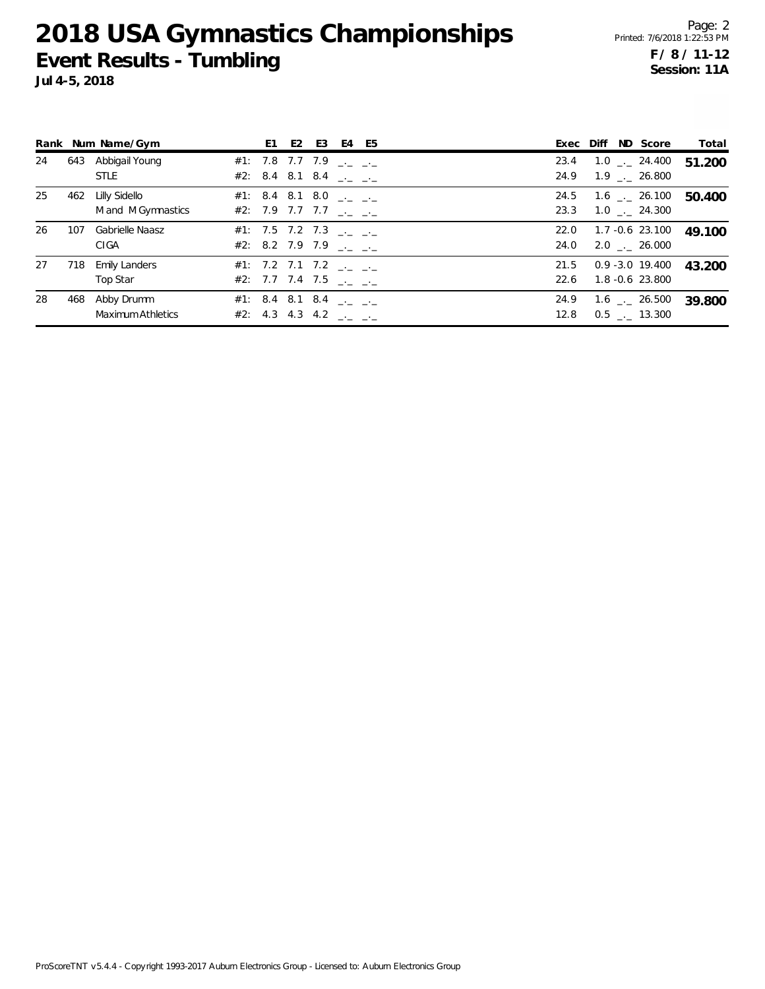**Jul 4-5, 2018**

Page: 2 Printed: 7/6/2018 1:22:53 PM **F / 8 / 11-12 Session: 11A**

|    |     | Rank Num Name/Gym                   | E1.                                                                                        | E <sub>2</sub> | E3 | E4 E5 |              |  | Exec Diff ND Score                              | Total  |
|----|-----|-------------------------------------|--------------------------------------------------------------------------------------------|----------------|----|-------|--------------|--|-------------------------------------------------|--------|
| 24 |     | 643 Abbigail Young<br><b>STLE</b>   | #1: 7.8 7.7 7.9 $\frac{1}{2}$ $\frac{1}{2}$<br>#2: 8.4 8.1 8.4 $\frac{1}{2}$ $\frac{1}{2}$ |                |    |       | 23.4<br>24.9 |  | $1.0$ _._ 24.400<br>$1.9$ $_{--}$ 26.800        | 51.200 |
| 25 | 462 | Lilly Sidello<br>M and M Gymnastics | #1: 8.4 8.1 8.0 $\frac{1}{2}$ $\frac{1}{2}$<br>#2: 7.9 7.7 7.7 $\frac{1}{2}$ $\frac{1}{2}$ |                |    |       | 24.5<br>23.3 |  | $1.6$ $_{\sim}$ 26.100<br>$1.0$ _. 24.300       | 50.400 |
| 26 | 107 | Gabrielle Naasz<br>CIGA             | #1: 7.5 7.2 7.3 $\frac{1}{2}$ $\frac{1}{2}$<br>#2: 8.2 7.9 7.9 $\frac{1}{2}$ $\frac{1}{2}$ |                |    |       | 22.0<br>24.0 |  | 1.7 -0.6 23.100<br>$2.0$ $_{-}$ $26.000$        | 49.100 |
| 27 | 718 | <b>Emily Landers</b><br>Top Star    | #1: 7.2 7.1 7.2 $\frac{1}{2}$ $\frac{1}{2}$<br>#2: 7.7 7.4 7.5 $\frac{1}{2}$ $\frac{1}{2}$ |                |    |       | 21.5<br>22.6 |  | $0.9 - 3.0$ 19.400<br>1.8 -0.6 23.800           | 43.200 |
| 28 | 468 | Abby Drumm<br>Maximum Athletics     | #1: 8.4 8.1 8.4 $\frac{1}{2}$ $\frac{1}{2}$<br>#2: 4.3 4.3 4.2 $\frac{1}{2}$ $\frac{1}{2}$ |                |    |       | 24.9<br>12.8 |  | $1.6$ $_{\leftarrow}$ 26.500<br>$0.5$ __ 13.300 | 39.800 |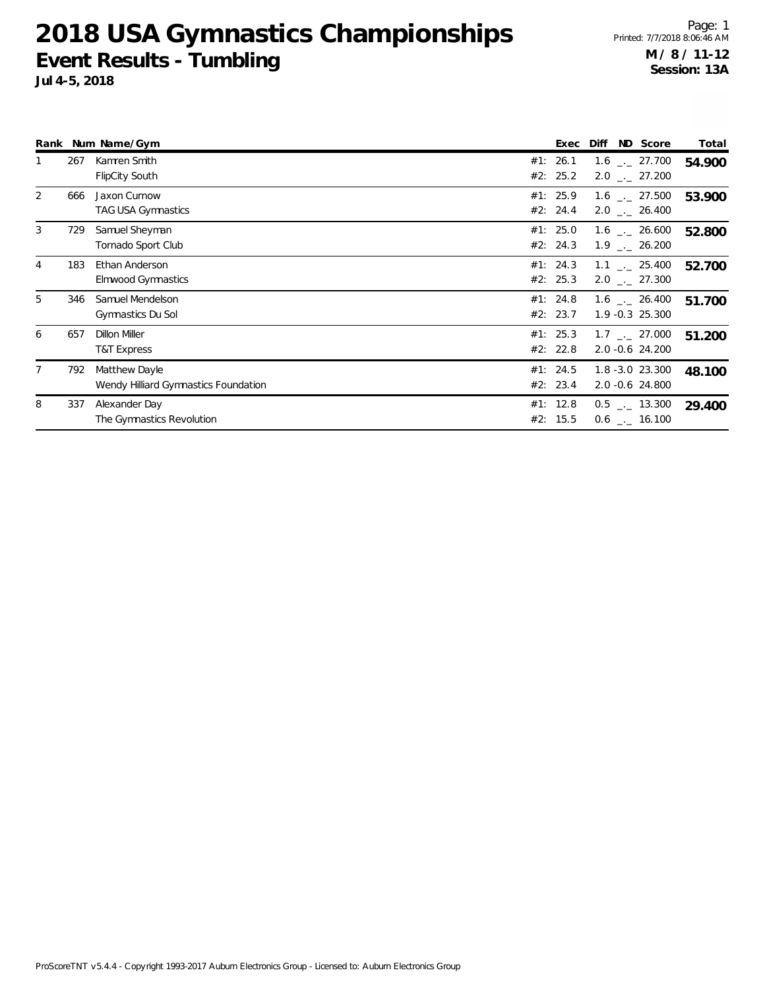|   |     | Rank Num Name/Gym                                     |     | Exec                 | ND Score<br>Diff                                             | Total  |
|---|-----|-------------------------------------------------------|-----|----------------------|--------------------------------------------------------------|--------|
|   | 267 | Kamren Smith<br><b>FlipCity South</b>                 | #1: | 26.1<br>#2: 25.2     | $1.6$ $_{\sim}$ 27.700<br>$2.0$ $_{\leftarrow}$ 27.200       | 54.900 |
| 2 | 666 | Jaxon Curnow<br>TAG USA Gymnastics                    |     | #1: 25.9<br>#2: 24.4 | $1.6$ $_{\sim}$ 27.500<br>$2.0$ _ 26.400                     | 53.900 |
| 3 | 729 | Samuel Sheyman<br>Tornado Sport Club                  |     | #1: 25.0<br>#2: 24.3 | $1.6$ $_{\leftarrow}$ 26.600<br>$1.9$ $_{\leftarrow}$ 26.200 | 52.800 |
| 4 | 183 | Ethan Anderson<br><b>Elmwood Gymnastics</b>           |     | #1: 24.3<br>#2: 25.3 | $1.1$ $_{\leftarrow}$ 25.400<br>$2.0$ $_{\leftarrow}$ 27.300 | 52.700 |
| 5 | 346 | Samuel Mendelson<br>Gymnastics Du Sol                 |     | #1: 24.8<br>#2: 23.7 | $1.6$ $_{\sim}$ 26.400<br>$1.9 - 0.3$ 25.300                 | 51.700 |
| 6 | 657 | Dillon Miller<br>T&T Express                          |     | #1: 25.3<br>#2: 22.8 | $1.7$ $_{\sim}$ 27.000<br>2.0 -0.6 24.200                    | 51.200 |
| 7 | 792 | Matthew Dayle<br>Wendy Hilliard Gymnastics Foundation |     | #1: 24.5<br>#2: 23.4 | $1.8 - 3.0$ 23.300<br>2.0 -0.6 24.800                        | 48.100 |
| 8 | 337 | Alexander Day<br>The Gymnastics Revolution            | #2: | #1: 12.8<br>15.5     | $0.5$ $_{\leftarrow}$ 13.300<br>$0.6$ _._ 16.100             | 29.400 |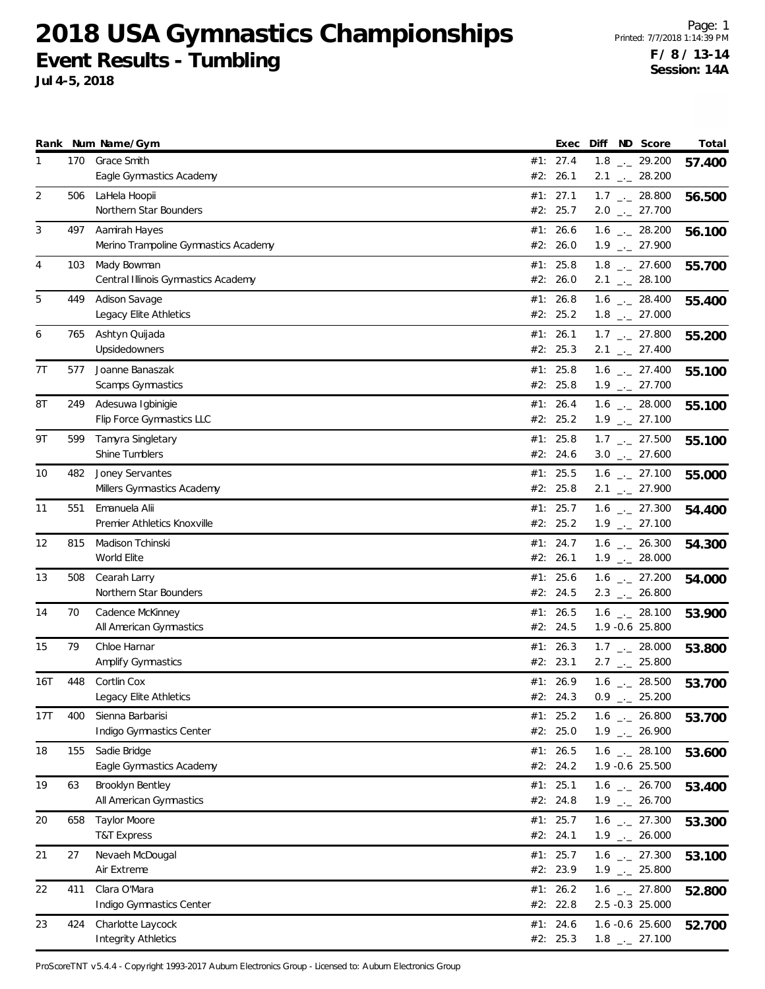**Jul 4-5, 2018**

|                |     | Rank Num Name/Gym                                     |     | Exec                 | Diff | ND Score                                                     | Total  |
|----------------|-----|-------------------------------------------------------|-----|----------------------|------|--------------------------------------------------------------|--------|
| 1              | 170 | Grace Smith                                           |     | #1: 27.4             |      | $1.8$ $_{-1}$ 29.200                                         | 57.400 |
|                |     | Eagle Gymnastics Academy                              | #2: | 26.1                 |      | $2.1$ $_{-1}$ 28.200                                         |        |
| $\overline{2}$ | 506 | LaHela Hoopii<br>Northern Star Bounders               |     | #1: 27.1<br>#2: 25.7 |      | $1.7$ $_{\leftarrow}$ 28.800<br>$2.0$ $_{\leftarrow}$ 27.700 | 56.500 |
|                |     |                                                       |     |                      |      |                                                              |        |
| 3              | 497 | Aamirah Hayes<br>Merino Trampoline Gymnastics Academy |     | #1: 26.6<br>#2: 26.0 |      | $1.6$ _ 28.200<br>$1.9$ $_{-}$ 27.900                        | 56.100 |
| 4              | 103 | Mady Bowman                                           |     | #1: $25.8$           |      | $1.8$ $_{-}$ 27.600                                          | 55.700 |
|                |     | Central Illinois Gymnastics Academy                   |     | #2: 26.0             |      | $2.1$ $_{-1}$ 28.100                                         |        |
| 5              | 449 | Adison Savage                                         |     | #1: 26.8             |      | $1.6$ $_{\leftarrow}$ 28.400                                 | 55.400 |
|                |     | Legacy Elite Athletics                                |     | #2: 25.2             |      | $1.8$ $_{\leftarrow}$ 27.000                                 |        |
| 6              | 765 | Ashtyn Quijada                                        |     | #1: 26.1             |      | $1.7$ $_{\leftarrow}$ 27.800                                 | 55.200 |
|                |     | Upsidedowners                                         |     | #2: 25.3             |      | $2.1$ $_{\leftarrow}$ 27.400                                 |        |
| 7T             | 577 | Joanne Banaszak                                       |     | #1: $25.8$           |      | $1.6$ $_{-1}$ 27.400                                         | 55.100 |
|                |     | Scamps Gymnastics                                     |     | #2: 25.8             |      | $1.9$ $_{-1}$ 27.700                                         |        |
| 8Τ             | 249 | Adesuwa Igbinigie                                     |     | #1: 26.4             |      | $1.6$ _ 28.000                                               | 55.100 |
|                |     | Flip Force Gymnastics LLC                             |     | #2: 25.2             |      | $1.9$ $_{-}$ 27.100                                          |        |
| 9Τ             | 599 | Tamyra Singletary                                     |     | #1: $25.8$           |      | $1.7$ $_{-2}$ 27.500                                         | 55.100 |
|                |     | Shine Tumblers                                        |     | #2: 24.6             |      | $3.0$ $_{-}$ 27.600                                          |        |
| 10             | 482 | Joney Servantes<br>Millers Gymnastics Academy         |     | #1: 25.5<br>#2: 25.8 |      | $1.6$ $_{\leftarrow}$ 27.100                                 | 55.000 |
|                |     |                                                       |     |                      |      | $2.1$ $_{\leftarrow}$ 27.900                                 |        |
| 11             | 551 | Emanuela Alii<br>Premier Athletics Knoxville          |     | #1: 25.7<br>#2: 25.2 |      | $1.6$ $_{\leftarrow}$ 27.300<br>$1.9$ $_{-}$ 27.100          | 54.400 |
| 12             | 815 | Madison Tchinski                                      | #1: | 24.7                 |      | $1.6$ $_{-}$ 26.300                                          |        |
|                |     | World Elite                                           |     | #2: 26.1             |      | $1.9$ $_{\leftarrow}$ 28.000                                 | 54.300 |
| 13             | 508 | Cearah Larry                                          |     | #1: 25.6             |      | $1.6$ $_{-1}$ 27.200                                         | 54.000 |
|                |     | Northern Star Bounders                                |     | #2: 24.5             |      | $2.3$ $_{\leftarrow}$ 26.800                                 |        |
| 14             | 70  | Cadence McKinney                                      |     | #1: 26.5             |      | $1.6$ $_{\leftarrow}$ 28.100                                 | 53.900 |
|                |     | All American Gymnastics                               |     | #2: 24.5             |      | 1.9 -0.6 25.800                                              |        |
| 15             | 79  | Chloe Harnar                                          | #1: | 26.3                 |      | $1.7$ $_{\leftarrow}$ 28.000                                 | 53.800 |
|                |     | Amplify Gymnastics                                    |     | #2: 23.1             |      | $2.7$ $_{\leftarrow}$ 25.800                                 |        |
| 16T            | 448 | Cortlin Cox                                           |     | #1: 26.9             |      | $1.6$ $_{\leftarrow}$ 28.500                                 | 53.700 |
|                |     | Legacy Elite Athletics                                |     | #2: 24.3             | 0.9  | $\frac{1}{2}$ 25.200                                         |        |
| 17T            | 400 | Sienna Barbarisi                                      |     | #1: 25.2             |      | $1.6$ _ 26.800                                               | 53.700 |
|                |     | Indigo Gymnastics Center                              |     | #2: 25.0             |      | $1.9$ $_{\leftarrow}$ 26.900                                 |        |
| 18             | 155 | Sadie Bridge                                          |     | #1: 26.5             |      | $1.6$ _ 28.100                                               | 53.600 |
|                |     | Eagle Gymnastics Academy                              |     | #2: 24.2             |      | 1.9 -0.6 25.500                                              |        |
| 19             | 63  | Brooklyn Bentley<br>All American Gymnastics           |     | #1: 25.1<br>#2: 24.8 |      | $1.6$ $_{-}$ 26.700<br>$1.9$ $_{-}$ 26.700                   | 53.400 |
|                |     |                                                       |     |                      |      |                                                              |        |
| 20             | 658 | <b>Taylor Moore</b><br><b>T&amp;T Express</b>         |     | #1: 25.7<br>#2: 24.1 |      | $1.6$ $-27.300$<br>$1.9$ $_{-}$ 26.000                       | 53.300 |
| 21             | 27  | Nevaeh McDougal                                       |     | #1: 25.7             |      | $1.6$ $_{\leftarrow}$ 27.300                                 |        |
|                |     | Air Extreme                                           |     | #2: 23.9             |      | $1.9$ $_{\leftarrow}$ 25.800                                 | 53.100 |
| 22             | 411 | Clara O'Mara                                          |     | #1: $26.2$           |      | $1.6$ $_{\leftarrow}$ 27.800                                 | 52.800 |
|                |     | Indigo Gymnastics Center                              |     | #2: 22.8             |      | 2.5 -0.3 25.000                                              |        |
| 23             | 424 | Charlotte Laycock                                     |     | #1: 24.6             |      | 1.6 -0.6 25.600                                              | 52.700 |
|                |     | <b>Integrity Athletics</b>                            |     | #2: 25.3             |      | $1.8$ $_{-}$ 27.100                                          |        |

ProScoreTNT v5.4.4 - Copyright 1993-2017 Auburn Electronics Group - Licensed to: Auburn Electronics Group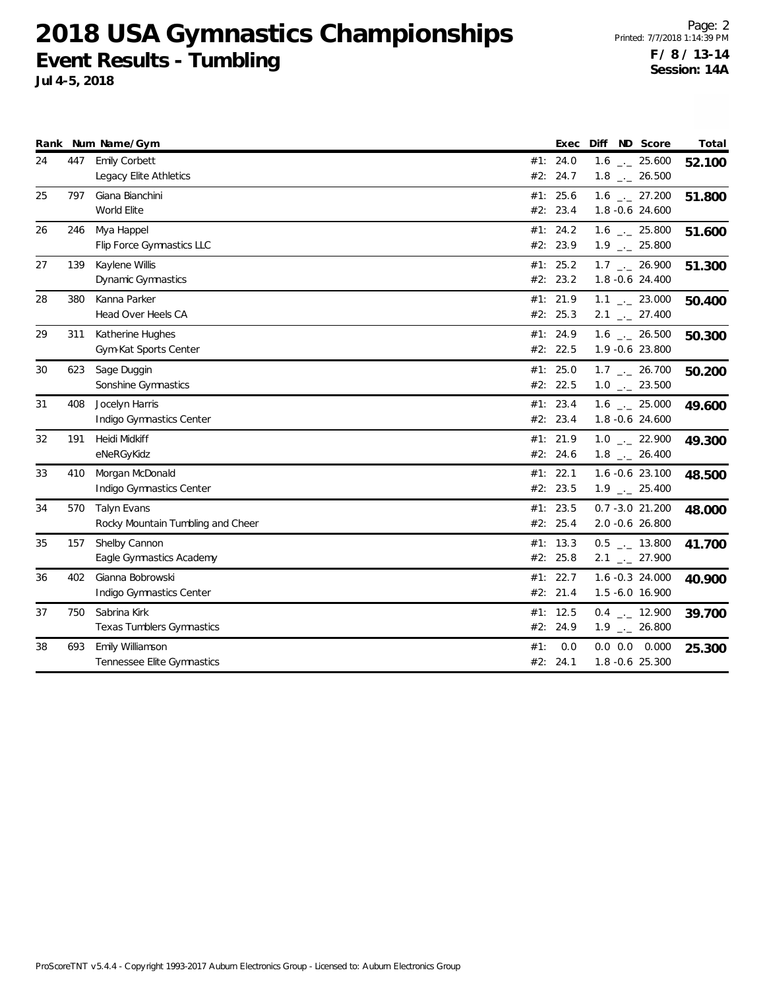|    |     | Rank Num Name/Gym                 |          | Exec | Diff ND Score                | Total  |
|----|-----|-----------------------------------|----------|------|------------------------------|--------|
| 24 | 447 | Emily Corbett                     | #1: 24.0 |      | $1.6$ $_{\leftarrow}$ 25.600 | 52.100 |
|    |     | Legacy Elite Athletics            | #2: 24.7 |      | $1.8$ $_{\leftarrow}$ 26.500 |        |
| 25 | 797 | Giana Bianchini                   | #1: 25.6 |      | $1.6$ $_{\leftarrow}$ 27.200 | 51.800 |
|    |     | World Elite                       | #2: 23.4 |      | 1.8 -0.6 24.600              |        |
| 26 | 246 | Mya Happel                        | #1: 24.2 |      | $1.6$ _ 25.800               | 51.600 |
|    |     | Flip Force Gymnastics LLC         | #2: 23.9 |      | $1.9$ $_{\leftarrow}$ 25.800 |        |
| 27 | 139 | Kaylene Willis                    | #1: 25.2 |      | $1.7$ _. 26.900              | 51.300 |
|    |     | Dynamic Gymnastics                | #2: 23.2 |      | 1.8 -0.6 24.400              |        |
| 28 | 380 | Kanna Parker                      | #1: 21.9 |      | $1.1$ $_{-}$ 23.000          | 50.400 |
|    |     | Head Over Heels CA                | #2: 25.3 |      | $2.1$ $_{\leftarrow}$ 27.400 |        |
| 29 | 311 | Katherine Hughes                  | #1: 24.9 |      | $1.6$ - 26.500               | 50.300 |
|    |     | Gym-Kat Sports Center             | #2: 22.5 |      | 1.9 -0.6 23.800              |        |
| 30 | 623 | Sage Duggin                       | #1: 25.0 |      | $1.7$ $_{\leftarrow}$ 26.700 | 50.200 |
|    |     | Sonshine Gymnastics               | #2: 22.5 |      | $1.0$ _ 23.500               |        |
| 31 | 408 | Jocelyn Harris                    | #1: 23.4 |      | $1.6$ $_{\leftarrow}$ 25.000 | 49.600 |
|    |     | Indigo Gymnastics Center          | #2: 23.4 |      | 1.8 -0.6 24.600              |        |
| 32 | 191 | Heidi Midkiff                     | #1: 21.9 |      | $1.0$ $_{-}$ 22.900          | 49.300 |
|    |     | eNeRGyKidz                        | #2: 24.6 |      | $1.8$ $_{\leftarrow}$ 26.400 |        |
| 33 | 410 | Morgan McDonald                   | #1: 22.1 |      | 1.6 -0.6 23.100              | 48.500 |
|    |     | Indigo Gymnastics Center          | #2: 23.5 |      | $1.9$ $_{\leftarrow}$ 25.400 |        |
| 34 | 570 | Talyn Evans                       | #1: 23.5 |      | $0.7 - 3.0 21.200$           | 48.000 |
|    |     | Rocky Mountain Tumbling and Cheer | #2: 25.4 |      | 2.0 -0.6 26.800              |        |
| 35 | 157 | Shelby Cannon                     | #1: 13.3 |      | $0.5$ $_{-1}$ 13.800         | 41.700 |
|    |     | Eagle Gymnastics Academy          | #2: 25.8 |      | $2.1$ $_{-}$ 27.900          |        |
| 36 | 402 | Gianna Bobrowski                  | #1: 22.7 |      | 1.6 -0.3 24.000              | 40.900 |
|    |     | Indigo Gymnastics Center          | #2: 21.4 |      | 1.5 -6.0 16.900              |        |
| 37 | 750 | Sabrina Kirk                      | #1: 12.5 |      | $0.4$ $-$ 12.900             | 39.700 |
|    |     | <b>Texas Tumblers Gymnastics</b>  | #2: 24.9 |      | $1.9$ $_{\leftarrow}$ 26.800 |        |
| 38 | 693 | Emily Williamson                  | #1:      | 0.0  | $0.0$ $0.0$ $0.000$          | 25.300 |
|    |     | Tennessee Elite Gymnastics        | #2: 24.1 |      | 1.8 -0.6 25.300              |        |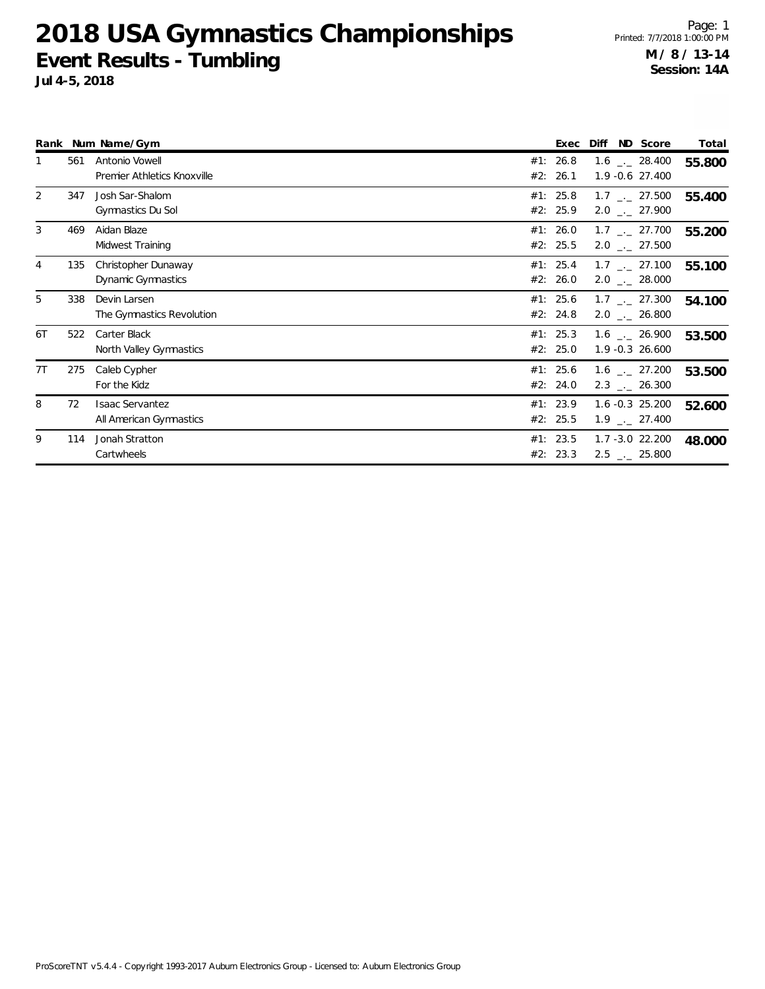|    |     | Rank Num Name/Gym                                 |     | Exec                   | Diff                                                         | ND Score | Total  |
|----|-----|---------------------------------------------------|-----|------------------------|--------------------------------------------------------------|----------|--------|
|    | 561 | Antonio Vowell<br>Premier Athletics Knoxville     | #2: | #1: 26.8<br>26.1       | $1.6$ _._ 28.400<br>1.9 -0.6 27.400                          |          | 55.800 |
| 2  | 347 | Josh Sar-Shalom<br>Gymnastics Du Sol              |     | #1: $25.8$<br>#2: 25.9 | $1.7$ $_{\sim}$ 27.500<br>$2.0$ $_{\leftarrow}$ 27.900       |          | 55.400 |
| 3  | 469 | Aidan Blaze<br>Midwest Training                   |     | #1: 26.0<br>#2: 25.5   | $1.7$ $_{\leftarrow}$ 27.700<br>$2.0$ _._ 27.500             |          | 55.200 |
| 4  | 135 | Christopher Dunaway<br>Dynamic Gymnastics         |     | #1: 25.4<br>#2: 26.0   | $1.7$ $_{\leftarrow}$ 27.100<br>$2.0$ _ 28.000               |          | 55.100 |
| 5  | 338 | Devin Larsen<br>The Gymnastics Revolution         |     | #1: 25.6<br>#2: 24.8   | $1.7$ $_{\leftarrow}$ 27.300<br>$2.0$ $_{\leftarrow}$ 26.800 |          | 54.100 |
| 6T | 522 | Carter Black<br>North Valley Gymnastics           |     | #1: 25.3<br>#2: 25.0   | $1.6$ $_{\leftarrow}$ 26.900<br>1.9 -0.3 26.600              |          | 53.500 |
| 7T | 275 | Caleb Cypher<br>For the Kidz                      |     | #1: 25.6<br>#2: 24.0   | $1.6$ $_{\leftarrow}$ 27.200<br>$2.3$ $_{\sim}$ 26.300       |          | 53.500 |
| 8  | 72  | <b>Isaac Servantez</b><br>All American Gymnastics |     | #1: 23.9<br>#2: 25.5   | $1.6 - 0.3$ 25.200<br>$1.9$ $_{\leftarrow}$ 27.400           |          | 52.600 |
| 9  | 114 | Jonah Stratton<br>Cartwheels                      |     | #1: 23.5<br>#2: 23.3   | $1.7 - 3.0$ 22.200<br>$2.5$ $_{\leftarrow}$ 25.800           |          | 48.000 |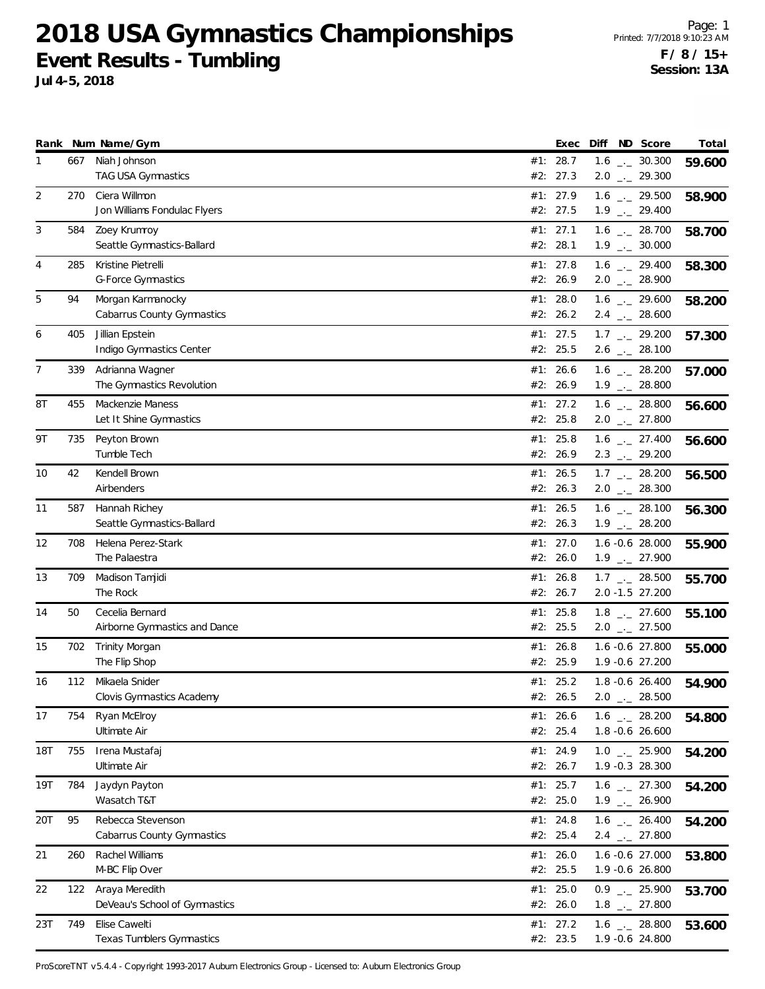**Jul 4-5, 2018**

|     |     | Rank Num Name/Gym                                | Exec                 | Diff | ND Score                                                     | Total  |
|-----|-----|--------------------------------------------------|----------------------|------|--------------------------------------------------------------|--------|
| 1   | 667 | Niah Johnson<br>TAG USA Gymnastics               | #1: 28.7<br>#2: 27.3 |      | $1.6$ $_{\leftarrow}$ 30.300<br>$2.0$ $_{\leftarrow}$ 29.300 | 59.600 |
| 2   | 270 | Ciera Willmon<br>Jon Williams Fondulac Flyers    | #1: 27.9<br>#2: 27.5 |      | $1.6$ $_{\leftarrow}$ 29.500<br>$1.9$ $_{\leftarrow}$ 29.400 | 58.900 |
| 3   | 584 | Zoey Krumroy<br>Seattle Gymnastics-Ballard       | #1: 27.1<br>#2: 28.1 |      | $1.6$ $_{-}$ 28.700<br>$1.9$ $_{\leftarrow}$ 30.000          | 58.700 |
| 4   | 285 | Kristine Pietrelli<br><b>G-Force Gymnastics</b>  | #1: 27.8<br>#2: 26.9 |      | $1.6$ $_{\leftarrow}$ 29.400<br>$2.0$ $_{\leftarrow}$ 28.900 | 58.300 |
| 5   | 94  | Morgan Karmanocky<br>Cabarrus County Gymnastics  | #1: 28.0<br>#2: 26.2 |      | $1.6$ $_{-}$ 29.600<br>$2.4$ $_{\leftarrow}$ 28.600          | 58.200 |
| 6   | 405 | Jillian Epstein<br>Indigo Gymnastics Center      | #1: 27.5<br>#2: 25.5 |      | $1.7$ $_{-2}$ 29.200<br>$2.6$ $_{\leftarrow}$ 28.100         | 57.300 |
| 7   | 339 | Adrianna Wagner<br>The Gymnastics Revolution     | #1: 26.6<br>#2: 26.9 |      | $1.6$ - 28.200<br>$1.9$ $_{\leftarrow}$ 28.800               | 57.000 |
| 8Τ  | 455 | Mackenzie Maness<br>Let It Shine Gymnastics      | #1: 27.2<br>#2: 25.8 |      | $1.6$ $_{\leftarrow}$ 28.800<br>$2.0$ $_{\leftarrow}$ 27.800 | 56.600 |
| 9Τ  | 735 | Peyton Brown<br>Tumble Tech                      | #1: 25.8<br>#2: 26.9 |      | $1.6$ $_{\leftarrow}$ 27.400<br>$2.3$ $_{\leftarrow}$ 29.200 | 56.600 |
| 10  | 42  | Kendell Brown<br>Airbenders                      | #1: 26.5<br>#2: 26.3 |      | $1.7$ $_{\leftarrow}$ 28.200<br>$2.0$ $_{\leftarrow}$ 28.300 | 56.500 |
| 11  | 587 | Hannah Richey<br>Seattle Gymnastics-Ballard      | #1: 26.5<br>#2: 26.3 |      | $1.6$ $_{\leftarrow}$ 28.100<br>$1.9$ $_{-}$ 28.200          | 56.300 |
| 12  | 708 | Helena Perez-Stark<br>The Palaestra              | #1: 27.0<br>#2: 26.0 |      | 1.6 -0.6 28.000<br>$1.9$ $_{\leftarrow}$ 27.900              | 55.900 |
| 13  | 709 | Madison Tamjidi<br>The Rock                      | #1: 26.8<br>#2: 26.7 |      | $1.7$ $_{\sim}$ 28.500<br>2.0 -1.5 27.200                    | 55.700 |
| 14  | 50  | Cecelia Bernard<br>Airborne Gymnastics and Dance | #1: 25.8<br>#2: 25.5 |      | $1.8$ $_{\leftarrow}$ 27.600<br>$2.0$ $_{\leftarrow}$ 27.500 | 55.100 |
| 15  | 702 | Trinity Morgan<br>The Flip Shop                  | #1: 26.8<br>#2: 25.9 |      | 1.6 -0.6 27.800<br>1.9 - 0.6 27.200                          | 55.000 |
| 16  | 112 | Mikaela Snider<br>Clovis Gymnastics Academy      | #1: 25.2<br>#2: 26.5 |      | $1.8 - 0.6$ 26.400<br>$2.0$ _. 28.500                        | 54.900 |
| 17  | 754 | Ryan McElroy<br>Ultimate Air                     | #1: 26.6<br>#2: 25.4 |      | $1.6$ $_{\leftarrow}$ 28.200<br>1.8 -0.6 26.600              | 54.800 |
| 18T | 755 | Irena Mustafaj<br>Ultimate Air                   | #1: 24.9<br>#2: 26.7 |      | $1.0$ $_{\leftarrow}$ 25.900<br>1.9 -0.3 28.300              | 54.200 |
| 19T | 784 | Jaydyn Payton<br>Wasatch T&T                     | #1: 25.7<br>#2: 25.0 |      | $1.6$ $_{\leftarrow}$ 27.300<br>$1.9$ $_{\leftarrow}$ 26.900 | 54.200 |
| 20T | 95  | Rebecca Stevenson<br>Cabarrus County Gymnastics  | #1: 24.8<br>#2: 25.4 |      | $1.6$ $_{-2}$ 26.400<br>$2.4$ $_{\leftarrow}$ 27.800         | 54.200 |
| 21  | 260 | Rachel Williams<br>M-BC Flip Over                | #1: 26.0<br>#2: 25.5 |      | 1.6 -0.6 27.000<br>1.9 -0.6 26.800                           | 53.800 |
| 22  | 122 | Araya Meredith<br>DeVeau's School of Gymnastics  | #1: 25.0<br>#2: 26.0 |      | $0.9$ $_{-1}$ 25.900<br>$1.8$ $_{-}$ 27.800                  | 53.700 |
| 23T | 749 | Elise Cawelti<br>Texas Tumblers Gymnastics       | #1: 27.2<br>#2: 23.5 |      | $1.6$ _ 28.800<br>1.9 -0.6 24.800                            | 53.600 |

ProScoreTNT v5.4.4 - Copyright 1993-2017 Auburn Electronics Group - Licensed to: Auburn Electronics Group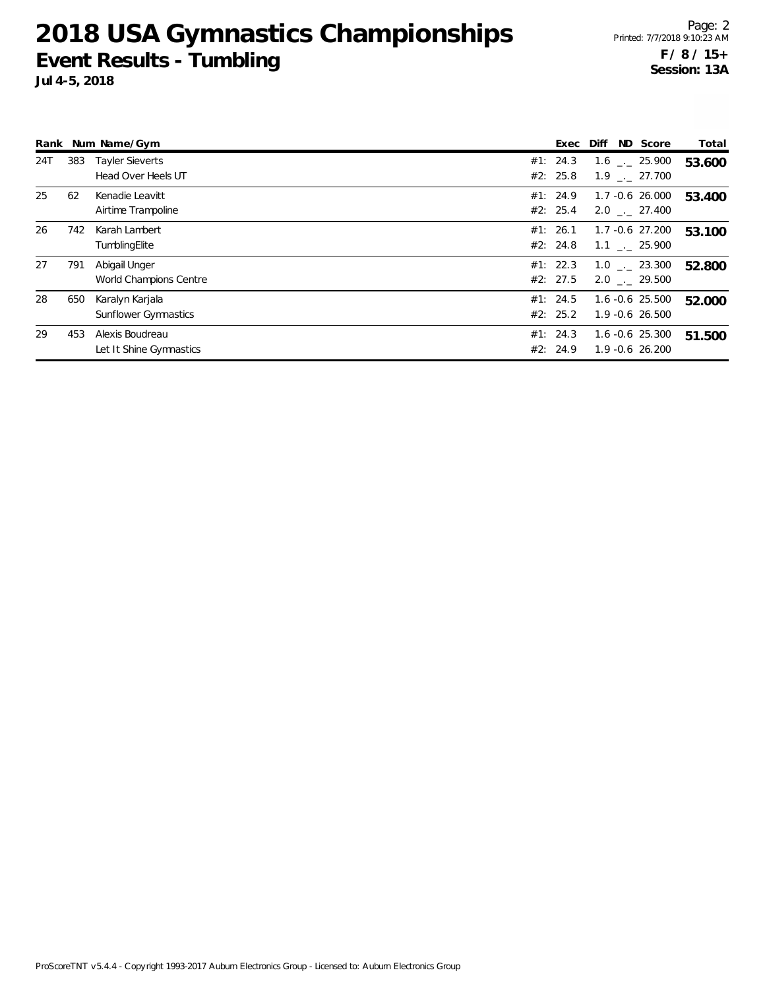|     |     | Rank Num Name/Gym                            | Exec                 | Diff                                          | ND Score | Total  |
|-----|-----|----------------------------------------------|----------------------|-----------------------------------------------|----------|--------|
| 24T | 383 | <b>Tayler Sieverts</b><br>Head Over Heels UT | #1: 24.3<br>#2: 25.8 | $1.6$ $_{\sim}$ 25.900<br>$1.9$ $_{-}$ 27.700 |          | 53.600 |
| 25  | 62  | Kenadie Leavitt<br>Airtime Trampoline        | #1: 24.9<br>#2: 25.4 | 1.7 -0.6 26.000<br>2.0 . 27.400               |          | 53.400 |
| 26  | 742 | Karah Lambert<br>TumblingElite               | #1: 26.1<br>#2: 24.8 | 1.7 -0.6 27.200<br>$1.1$ $_{-}$ 25.900        |          | 53.100 |
| 27  | 791 | Abigail Unger<br>World Champions Centre      | #1: 22.3<br>#2: 27.5 | $1.0$ . 23.300<br>$2.0$ $_{-}$ 29.500         |          | 52.800 |
| 28  | 650 | Karalyn Karjala<br>Sunflower Gymnastics      | #1: 24.5<br>#2: 25.2 | $1.6 - 0.6$ 25.500<br>$1.9 - 0.6$ 26.500      |          | 52.000 |
| 29  | 453 | Alexis Boudreau<br>Let It Shine Gymnastics   | #1: 24.3<br>#2: 24.9 | $1.6 - 0.6$ 25.300<br>$1.9 - 0.6$ 26.200      |          | 51.500 |